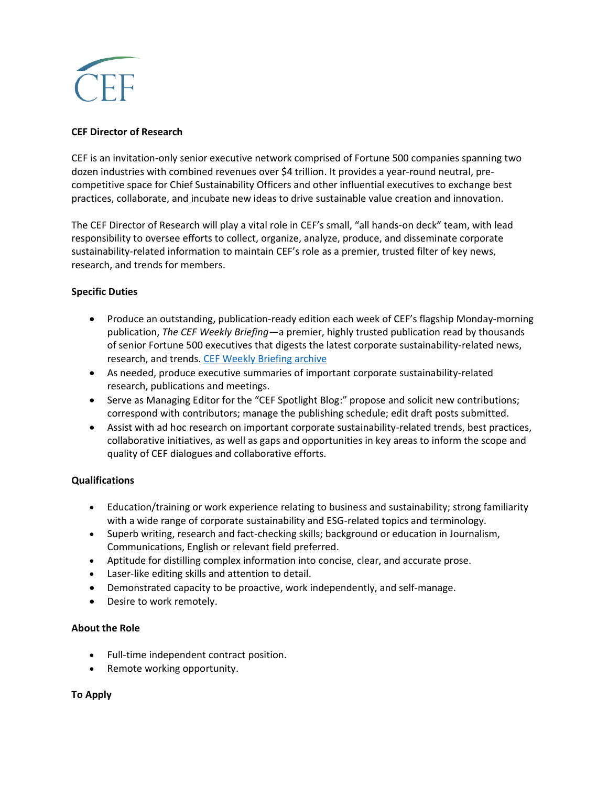

# **CEF Director of Research**

CEF is an invitation-only senior executive network comprised of Fortune 500 companies spanning two dozen industries with combined revenues over \$4 trillion. It provides a year-round neutral, precompetitive space for Chief Sustainability Officers and other influential executives to exchange best practices, collaborate, and incubate new ideas to drive sustainable value creation and innovation.

The CEF Director of Research will play a vital role in CEF's small, "all hands-on deck" team, with lead responsibility to oversee efforts to collect, organize, analyze, produce, and disseminate corporate sustainability-related information to maintain CEF's role as a premier, trusted filter of key news, research, and trends for members.

# **Specific Duties**

- Produce an outstanding, publication-ready edition each week of CEF's flagship Monday-morning publication, *The CEF Weekly Briefing*—a premier, highly trusted publication read by thousands of senior Fortune 500 executives that digests the latest corporate sustainability-related news, research, and trends. [CEF Weekly Briefing archive](https://www.corporateecoforum.com/weekly-briefing/)
- As needed, produce executive summaries of important corporate sustainability-related research, publications and meetings.
- Serve as Managing Editor for the "CEF Spotlight Blog:" propose and solicit new contributions; correspond with contributors; manage the publishing schedule; edit draft posts submitted.
- Assist with ad hoc research on important corporate sustainability-related trends, best practices, collaborative initiatives, as well as gaps and opportunities in key areas to inform the scope and quality of CEF dialogues and collaborative efforts.

# **Qualifications**

- Education/training or work experience relating to business and sustainability; strong familiarity with a wide range of corporate sustainability and ESG-related topics and terminology.
- Superb writing, research and fact-checking skills; background or education in Journalism, Communications, English or relevant field preferred.
- Aptitude for distilling complex information into concise, clear, and accurate prose.
- Laser-like editing skills and attention to detail.
- Demonstrated capacity to be proactive, work independently, and self-manage.
- Desire to work remotely.

# **About the Role**

- Full-time independent contract position.
- Remote working opportunity.

# **To Apply**